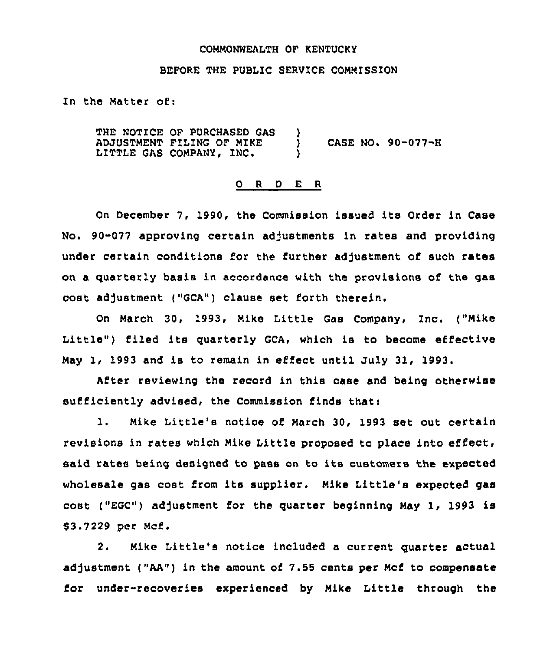## COMMONWEALTH OF KENTUCKY

## BEFORE THE PUBLIC SERVICE COMMISSION

In the Matter of:

THE NOTICE OF PURCHASED QAS ADJUSTMENT FILING OF MIKE LITTLE GAS COMPANY, INC.  $\left\{ \right\}$ ) CASE NO. 90-077-H )

## 0 <sup>R</sup> <sup>D</sup> E <sup>R</sup>

On December 7, 1990, the Commission issued its Order in Case No. 90-077 approving certain adjustments in rates and providing under certain conditions for the further adjustment of such rates on a quarterly basis in accordance with the provisions of the gas cost adjustment ("GCA") clause set forth therein.

On March 30, 1993, Mike Little Gas Company, Inc. ("Mike Little") filed its quarterly GCA, which is to become effective May 1, 1993 and is to remain in effect until July 31, 1993

After reviewing the record in this case and being otherwise  $sufficiently add, the Commission finds that:$ 

1. Mike Little's notice of March 30, 1993 set out certain revisions in rates which Mike Little proposed to place into effect. said rates being designed to pass on to its customers the expected wholesale gas cost from its supplier. Mike Little's expected gas cost ("EGC") adjustment for the quarter beginning May 1, 1993 is 03.7229 per Mcf.

2. Mike Little's notice included <sup>a</sup> current quarter actual adjustment ("AA") in the amount of 7.55 cents per Mcf to compensate for under-recoveries experienced by Mike Little through the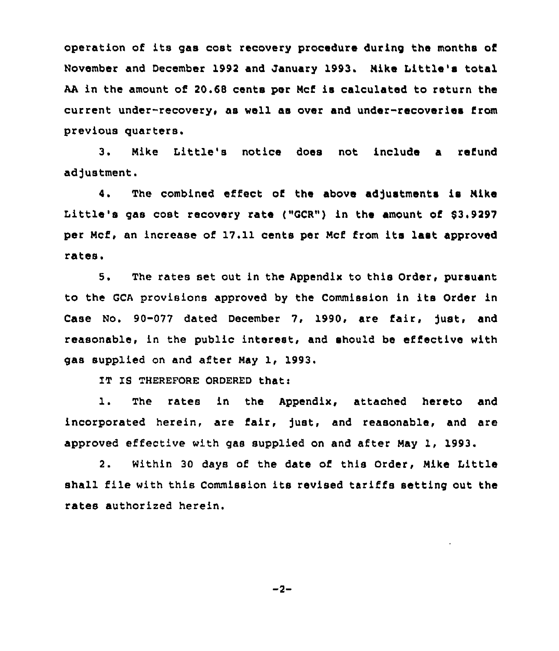operation of its gas cost recovery procedure during the months of November and December 1992 and January 1993. Nike Little's total AA in the amount of 20.68 cents per Mcf is calculated to return the current under-recovery, as well as over and under-recoveries from previous quarters.

3. Nike Little's notice does not include a refund adjustment.

4. The combined effect of the above adjustments is Mike Little's gas cost recovery rate ("GCR") in the amount of  $$3.9297$ per Ncf, an increase of 17.11 cents per Ncf from its last approved rates.

5. The rates set out in the Appendix to this Order, pursuant to the GCA provisions approved by the Commission in ite Order in Case No. 90-077 dated December 7, 1990, are fair, fust, and reasonable, in the public interest, and should be effective with gas supplied on and after Nay 1, 1993.

IT IS THEREFORE ORDERED that:

1. The rates in the Appendix, attached hereto and incorporated herein, are fair, just, and reasonable, and are approved effective with gas supplied on and after Nay 1, 1993.

2. Within 30 days of the date of this Order, Nike Little shall file with this Commission its revised tariffs setting out the rates authorized herein.

 $-2-$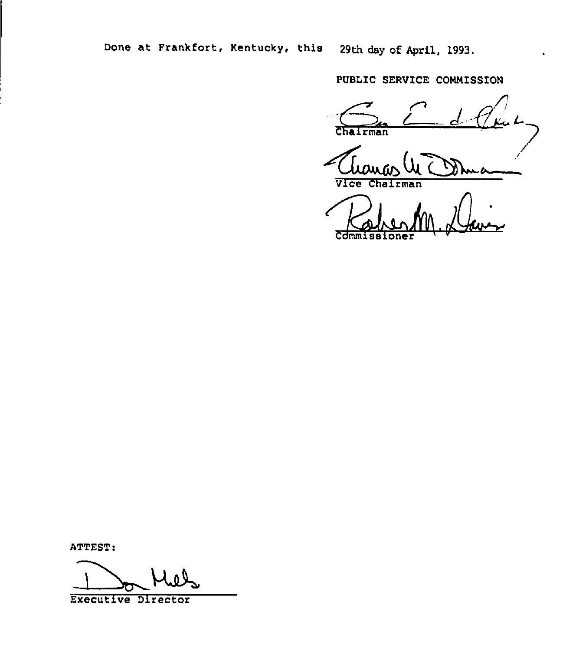Done at Frankfort, Kentucky, this 29th day of April, 1993.

PUBLIC SERVICE COMMISSION

rman

 $\overline{\mathtt{Vlec}}$ rman

ATTEST:

Executive Director